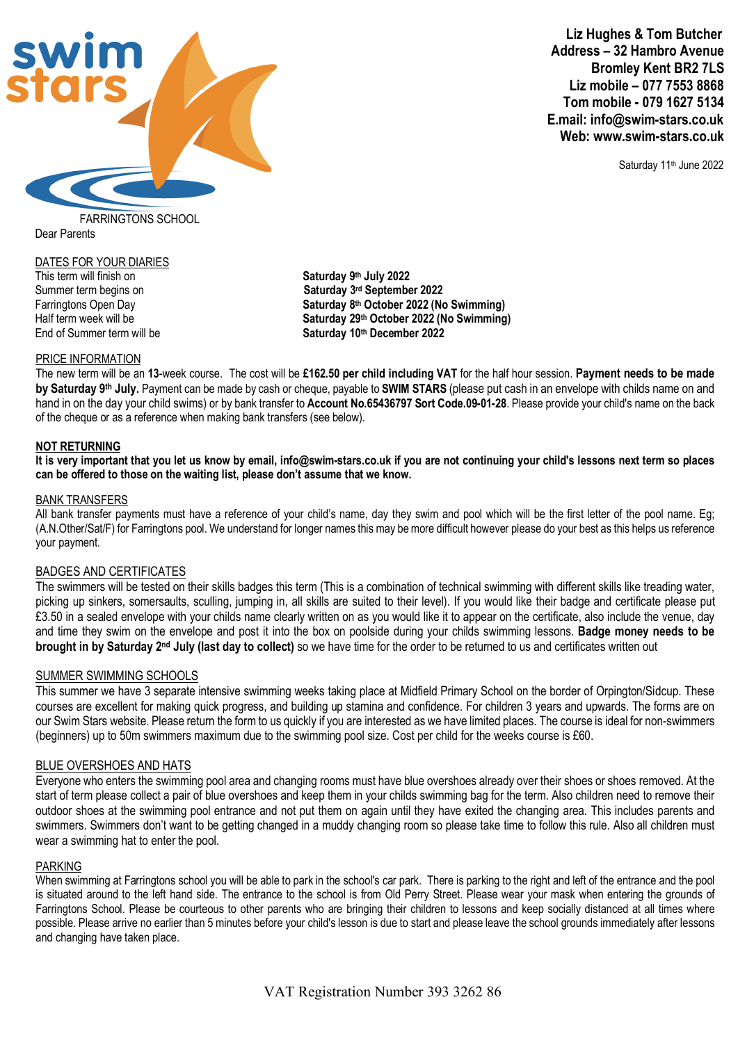

 **Liz Hughes & Tom Butcher Address – 32 Hambro Avenue Bromley Kent BR2 7LS Liz mobile – 077 7553 8868 Tom mobile - 079 1627 5134 E.mail: info@swim-stars.co.uk Web: www.swim-stars.co.uk** 

Saturday 11<sup>th</sup> June 2022

FARRINGTONS SCHOOL Dear Parents

# DATES FOR YOUR DIARIES

This term will finish on **Saturday 9th July 2022** End of Summer term will be **Saturday 10th December 2022**

Summer term begins on **Saturday 3rd September 2022** Farringtons Open Day **Saturday 8th October 2022 (No Swimming)** Half term week will be **Saturday 29th October 2022 (No Swimming)**

## PRICE INFORMATION

The new term will be an **13**-week course. The cost will be **£162.50 per child including VAT** for the half hour session. **Payment needs to be made by Saturday 9th July.** Payment can be made by cash or cheque, payable to **SWIM STARS** (please put cash in an envelope with childs name on and hand in on the day your child swims) or by bank transfer to **Account No.65436797 Sort Code.09-01-28**. Please provide your child's name on the back of the cheque or as a reference when making bank transfers (see below).

## **NOT RETURNING**

**It is very important that you let us know by email, info@swim-stars.co.uk if you are not continuing your child's lessons next term so places can be offered to those on the waiting list, please don't assume that we know.**

### BANK TRANSFERS

All bank transfer payments must have a reference of your child's name, day they swim and pool which will be the first letter of the pool name. Eg; (A.N.Other/Sat/F) for Farringtons pool. We understand for longer names this may be more difficult however please do your best as this helps us reference your payment.

## BADGES AND CERTIFICATES

The swimmers will be tested on their skills badges this term (This is a combination of technical swimming with different skills like treading water, picking up sinkers, somersaults, sculling, jumping in, all skills are suited to their level). If you would like their badge and certificate please put £3.50 in a sealed envelope with your childs name clearly written on as you would like it to appear on the certificate, also include the venue, day and time they swim on the envelope and post it into the box on poolside during your childs swimming lessons. **Badge money needs to be brought in by Saturday 2nd July (last day to collect)** so we have time for the order to be returned to us and certificates written out

## SUMMER SWIMMING SCHOOLS

This summer we have 3 separate intensive swimming weeks taking place at Midfield Primary School on the border of Orpington/Sidcup. These courses are excellent for making quick progress, and building up stamina and confidence. For children 3 years and upwards. The forms are on our Swim Stars website. Please return the form to us quickly if you are interested as we have limited places. The course is ideal for non-swimmers (beginners) up to 50m swimmers maximum due to the swimming pool size. Cost per child for the weeks course is £60.

## BLUE OVERSHOES AND HATS

Everyone who enters the swimming pool area and changing rooms must have blue overshoes already over their shoes or shoes removed. At the start of term please collect a pair of blue overshoes and keep them in your childs swimming bag for the term. Also children need to remove their outdoor shoes at the swimming pool entrance and not put them on again until they have exited the changing area. This includes parents and swimmers. Swimmers don't want to be getting changed in a muddy changing room so please take time to follow this rule. Also all children must wear a swimming hat to enter the pool.

## PARKING

When swimming at Farringtons school you will be able to park in the school's car park. There is parking to the right and left of the entrance and the pool is situated around to the left hand side. The entrance to the school is from Old Perry Street. Please wear your mask when entering the grounds of Farringtons School. Please be courteous to other parents who are bringing their children to lessons and keep socially distanced at all times where possible. Please arrive no earlier than 5 minutes before your child's lesson is due to start and please leave the school grounds immediately after lessons and changing have taken place.